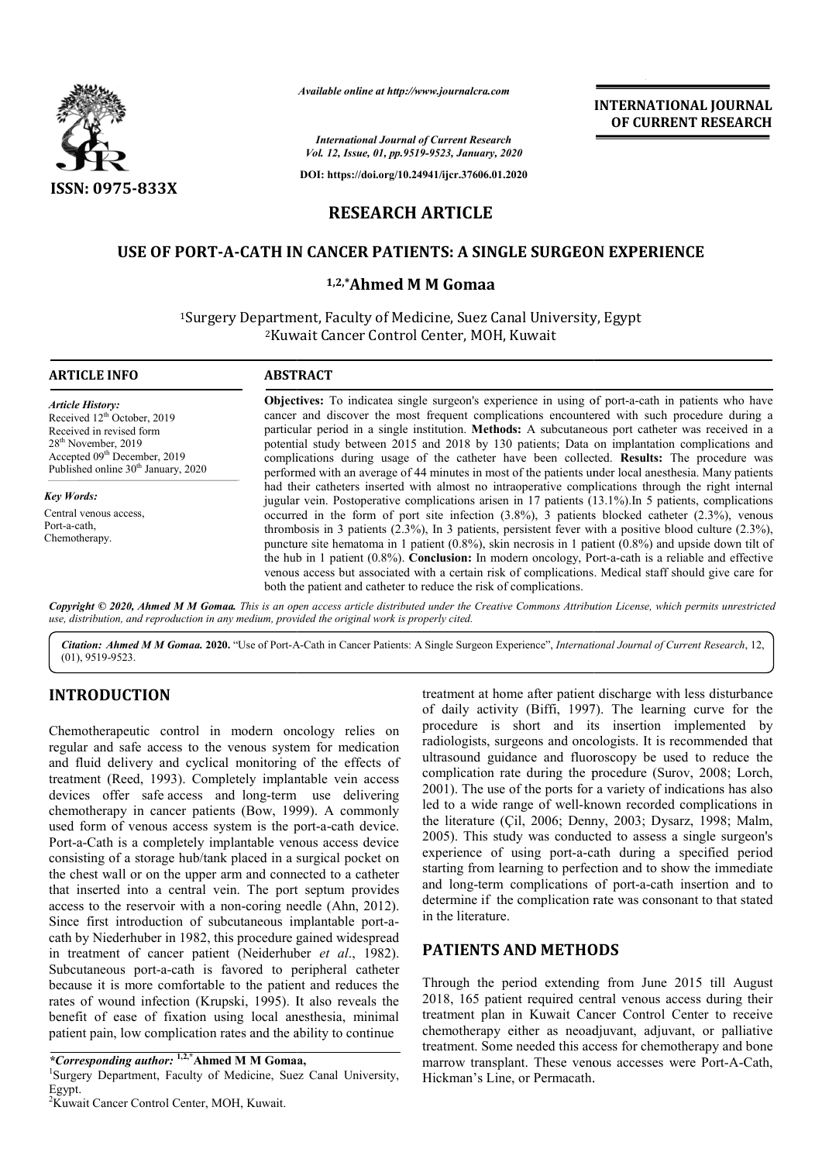

*Available online at http://www.journalcra.com*

# **RESEARCH ARTICLE**

# **USE OF PORT-A-CATH IN CANCER PATIENTS: A SINGLE SURGEON EXPERIENCE<br>1,2,\*Ahmed M M Gomaa**

|                                                                                                                                                                                                                                                                                                                                                                                                                                                                                                                                                                                                                                                                                                                                                                                                                                                                                                                                                                                                                                           |                                                                                                                                                                                                                                                                                                                                                                                                                                                                                                                                                                                                                                                                                                                                                                                                                                                                                                                                                                                                                                                                                                                                                                                                                                                                                                                                                                                                                                                                    | <b>INTERNATIONAL JOURNAL</b><br>OF CURRENT RESEARCH                                                                                                                                                                                                                                                                                                                                                                                                                                                                                                                                                                                                                                                                                                                                                                                        |
|-------------------------------------------------------------------------------------------------------------------------------------------------------------------------------------------------------------------------------------------------------------------------------------------------------------------------------------------------------------------------------------------------------------------------------------------------------------------------------------------------------------------------------------------------------------------------------------------------------------------------------------------------------------------------------------------------------------------------------------------------------------------------------------------------------------------------------------------------------------------------------------------------------------------------------------------------------------------------------------------------------------------------------------------|--------------------------------------------------------------------------------------------------------------------------------------------------------------------------------------------------------------------------------------------------------------------------------------------------------------------------------------------------------------------------------------------------------------------------------------------------------------------------------------------------------------------------------------------------------------------------------------------------------------------------------------------------------------------------------------------------------------------------------------------------------------------------------------------------------------------------------------------------------------------------------------------------------------------------------------------------------------------------------------------------------------------------------------------------------------------------------------------------------------------------------------------------------------------------------------------------------------------------------------------------------------------------------------------------------------------------------------------------------------------------------------------------------------------------------------------------------------------|--------------------------------------------------------------------------------------------------------------------------------------------------------------------------------------------------------------------------------------------------------------------------------------------------------------------------------------------------------------------------------------------------------------------------------------------------------------------------------------------------------------------------------------------------------------------------------------------------------------------------------------------------------------------------------------------------------------------------------------------------------------------------------------------------------------------------------------------|
|                                                                                                                                                                                                                                                                                                                                                                                                                                                                                                                                                                                                                                                                                                                                                                                                                                                                                                                                                                                                                                           |                                                                                                                                                                                                                                                                                                                                                                                                                                                                                                                                                                                                                                                                                                                                                                                                                                                                                                                                                                                                                                                                                                                                                                                                                                                                                                                                                                                                                                                                    | <b>International Journal of Current Research</b><br>Vol. 12, Issue, 01, pp.9519-9523, January, 2020                                                                                                                                                                                                                                                                                                                                                                                                                                                                                                                                                                                                                                                                                                                                        |
| <b>ISSN: 0975-833X</b>                                                                                                                                                                                                                                                                                                                                                                                                                                                                                                                                                                                                                                                                                                                                                                                                                                                                                                                                                                                                                    |                                                                                                                                                                                                                                                                                                                                                                                                                                                                                                                                                                                                                                                                                                                                                                                                                                                                                                                                                                                                                                                                                                                                                                                                                                                                                                                                                                                                                                                                    | DOI: https://doi.org/10.24941/ijcr.37606.01.2020                                                                                                                                                                                                                                                                                                                                                                                                                                                                                                                                                                                                                                                                                                                                                                                           |
|                                                                                                                                                                                                                                                                                                                                                                                                                                                                                                                                                                                                                                                                                                                                                                                                                                                                                                                                                                                                                                           |                                                                                                                                                                                                                                                                                                                                                                                                                                                                                                                                                                                                                                                                                                                                                                                                                                                                                                                                                                                                                                                                                                                                                                                                                                                                                                                                                                                                                                                                    | <b>RESEARCH ARTICLE</b>                                                                                                                                                                                                                                                                                                                                                                                                                                                                                                                                                                                                                                                                                                                                                                                                                    |
|                                                                                                                                                                                                                                                                                                                                                                                                                                                                                                                                                                                                                                                                                                                                                                                                                                                                                                                                                                                                                                           |                                                                                                                                                                                                                                                                                                                                                                                                                                                                                                                                                                                                                                                                                                                                                                                                                                                                                                                                                                                                                                                                                                                                                                                                                                                                                                                                                                                                                                                                    |                                                                                                                                                                                                                                                                                                                                                                                                                                                                                                                                                                                                                                                                                                                                                                                                                                            |
|                                                                                                                                                                                                                                                                                                                                                                                                                                                                                                                                                                                                                                                                                                                                                                                                                                                                                                                                                                                                                                           |                                                                                                                                                                                                                                                                                                                                                                                                                                                                                                                                                                                                                                                                                                                                                                                                                                                                                                                                                                                                                                                                                                                                                                                                                                                                                                                                                                                                                                                                    | USE OF PORT-A-CATH IN CANCER PATIENTS: A SINGLE SURGEON EXPERIENCE                                                                                                                                                                                                                                                                                                                                                                                                                                                                                                                                                                                                                                                                                                                                                                         |
|                                                                                                                                                                                                                                                                                                                                                                                                                                                                                                                                                                                                                                                                                                                                                                                                                                                                                                                                                                                                                                           |                                                                                                                                                                                                                                                                                                                                                                                                                                                                                                                                                                                                                                                                                                                                                                                                                                                                                                                                                                                                                                                                                                                                                                                                                                                                                                                                                                                                                                                                    | 1,2,*Ahmed M M Gomaa                                                                                                                                                                                                                                                                                                                                                                                                                                                                                                                                                                                                                                                                                                                                                                                                                       |
|                                                                                                                                                                                                                                                                                                                                                                                                                                                                                                                                                                                                                                                                                                                                                                                                                                                                                                                                                                                                                                           |                                                                                                                                                                                                                                                                                                                                                                                                                                                                                                                                                                                                                                                                                                                                                                                                                                                                                                                                                                                                                                                                                                                                                                                                                                                                                                                                                                                                                                                                    | <sup>1</sup> Surgery Department, Faculty of Medicine, Suez Canal University, Egypt<br><sup>2</sup> Kuwait Cancer Control Center, MOH, Kuwait                                                                                                                                                                                                                                                                                                                                                                                                                                                                                                                                                                                                                                                                                               |
| <b>ARTICLE INFO</b>                                                                                                                                                                                                                                                                                                                                                                                                                                                                                                                                                                                                                                                                                                                                                                                                                                                                                                                                                                                                                       | <b>ABSTRACT</b>                                                                                                                                                                                                                                                                                                                                                                                                                                                                                                                                                                                                                                                                                                                                                                                                                                                                                                                                                                                                                                                                                                                                                                                                                                                                                                                                                                                                                                                    |                                                                                                                                                                                                                                                                                                                                                                                                                                                                                                                                                                                                                                                                                                                                                                                                                                            |
| <b>Article History:</b><br>Received 12 <sup>th</sup> October, 2019<br>Received in revised form<br>28 <sup>th</sup> November, 2019<br>Accepted 09 <sup>th</sup> December, 2019<br>Published online 30 <sup>th</sup> January, 2020                                                                                                                                                                                                                                                                                                                                                                                                                                                                                                                                                                                                                                                                                                                                                                                                          | Objectives: To indicatea single surgeon's experience in using of port-a-cath in patients who have<br>cancer and discover the most frequent complications encountered with such procedure during a<br>particular period in a single institution. Methods: A subcutaneous port catheter was received in a<br>potential study between 2015 and 2018 by 130 patients; Data on implantation complications and<br>complications during usage of the catheter have been collected. Results: The procedure was<br>performed with an average of 44 minutes in most of the patients under local anesthesia. Many patients<br>had their catheters inserted with almost no intraoperative complications through the right internal<br>jugular vein. Postoperative complications arisen in 17 patients (13.1%). In 5 patients, complications<br>occurred in the form of port site infection $(3.8\%)$ , 3 patients blocked catheter $(2.3\%)$ , venous<br>thrombosis in 3 patients $(2.3\%)$ , In 3 patients, persistent fever with a positive blood culture $(2.3\%)$ ,<br>puncture site hematoma in 1 patient $(0.8\%)$ , skin necrosis in 1 patient $(0.8\%)$ and upside down tilt of<br>the hub in 1 patient (0.8%). Conclusion: In modern oncology, Port-a-cath is a reliable and effective<br>venous access but associated with a certain risk of complications. Medical staff should give care for<br>both the patient and catheter to reduce the risk of complications. |                                                                                                                                                                                                                                                                                                                                                                                                                                                                                                                                                                                                                                                                                                                                                                                                                                            |
| <b>Key Words:</b><br>Central venous access,<br>Port-a-cath,<br>Chemotherapy.                                                                                                                                                                                                                                                                                                                                                                                                                                                                                                                                                                                                                                                                                                                                                                                                                                                                                                                                                              |                                                                                                                                                                                                                                                                                                                                                                                                                                                                                                                                                                                                                                                                                                                                                                                                                                                                                                                                                                                                                                                                                                                                                                                                                                                                                                                                                                                                                                                                    |                                                                                                                                                                                                                                                                                                                                                                                                                                                                                                                                                                                                                                                                                                                                                                                                                                            |
|                                                                                                                                                                                                                                                                                                                                                                                                                                                                                                                                                                                                                                                                                                                                                                                                                                                                                                                                                                                                                                           | use, distribution, and reproduction in any medium, provided the original work is properly cited.                                                                                                                                                                                                                                                                                                                                                                                                                                                                                                                                                                                                                                                                                                                                                                                                                                                                                                                                                                                                                                                                                                                                                                                                                                                                                                                                                                   | Copyright © 2020, Ahmed M M Gomaa. This is an open access article distributed under the Creative Commons Attribution License, which permits unrestrictea                                                                                                                                                                                                                                                                                                                                                                                                                                                                                                                                                                                                                                                                                   |
| $(01)$ , 9519-9523.                                                                                                                                                                                                                                                                                                                                                                                                                                                                                                                                                                                                                                                                                                                                                                                                                                                                                                                                                                                                                       |                                                                                                                                                                                                                                                                                                                                                                                                                                                                                                                                                                                                                                                                                                                                                                                                                                                                                                                                                                                                                                                                                                                                                                                                                                                                                                                                                                                                                                                                    | Citation: Ahmed M M Gomaa. 2020. "Use of Port-A-Cath in Cancer Patients: A Single Surgeon Experience", International Journal of Current Research, 12,                                                                                                                                                                                                                                                                                                                                                                                                                                                                                                                                                                                                                                                                                      |
| <b>INTRODUCTION</b>                                                                                                                                                                                                                                                                                                                                                                                                                                                                                                                                                                                                                                                                                                                                                                                                                                                                                                                                                                                                                       |                                                                                                                                                                                                                                                                                                                                                                                                                                                                                                                                                                                                                                                                                                                                                                                                                                                                                                                                                                                                                                                                                                                                                                                                                                                                                                                                                                                                                                                                    | treatment at home after patient discharge with less disturbance<br>of daily activity (Biffi, 1997). The learning curve for the                                                                                                                                                                                                                                                                                                                                                                                                                                                                                                                                                                                                                                                                                                             |
| Chemotherapeutic control in modern oncology relies on<br>regular and safe access to the venous system for medication<br>and fluid delivery and cyclical monitoring of the effects of<br>treatment (Reed, 1993). Completely implantable vein access<br>devices offer safe access and long-term use delivering<br>chemotherapy in cancer patients (Bow, 1999). A commonly<br>used form of venous access system is the port-a-cath device.<br>Port-a-Cath is a completely implantable venous access device<br>consisting of a storage hub/tank placed in a surgical pocket on<br>the chest wall or on the upper arm and connected to a catheter<br>that inserted into a central vein. The port septum provides<br>access to the reservoir with a non-coring needle (Ahn, 2012).<br>Since first introduction of subcutaneous implantable port-a-<br>cath by Niederhuber in 1982, this procedure gained widespread<br>in treatment of cancer patient (Neiderhuber et al., 1982).<br>Subcutaneous port-a-cath is favored to peripheral catheter |                                                                                                                                                                                                                                                                                                                                                                                                                                                                                                                                                                                                                                                                                                                                                                                                                                                                                                                                                                                                                                                                                                                                                                                                                                                                                                                                                                                                                                                                    | procedure is short and its insertion implemented by<br>radiologists, surgeons and oncologists. It is recommended that<br>ultrasound guidance and fluoroscopy be used to reduce the<br>complication rate during the procedure (Surov, 2008; Lorch,<br>2001). The use of the ports for a variety of indications has also<br>led to a wide range of well-known recorded complications in<br>the literature (Çil, 2006; Denny, 2003; Dysarz, 1998; Malm,<br>2005). This study was conducted to assess a single surgeon's<br>experience of using port-a-cath during a specified period<br>starting from learning to perfection and to show the immediate<br>and long-term complications of port-a-cath insertion and to<br>determine if the complication rate was consonant to that stated<br>in the literature.<br><b>PATIENTS AND METHODS</b> |
| because it is more comfortable to the patient and reduces the<br>rates of wound infection (Krupski, 1995). It also reveals the<br>benefit of ease of fixation using local anesthesia, minimal<br>patient pain, low complication rates and the ability to continue                                                                                                                                                                                                                                                                                                                                                                                                                                                                                                                                                                                                                                                                                                                                                                         |                                                                                                                                                                                                                                                                                                                                                                                                                                                                                                                                                                                                                                                                                                                                                                                                                                                                                                                                                                                                                                                                                                                                                                                                                                                                                                                                                                                                                                                                    | Through the period extending from June 2015 till August<br>2018, 165 patient required central venous access during their<br>treatment plan in Kuwait Cancer Control Center to receive<br>chemotherapy either as neoadjuvant, adjuvant, or palliative<br>treatment. Some needed this access for chemotherapy and bone                                                                                                                                                                                                                                                                                                                                                                                                                                                                                                                       |
| <i>*Corresponding author:</i> <sup>1,2,*</sup> Ahmed M M Gomaa,<br><sup>1</sup> Surgery Department, Faculty of Medicine, Suez Canal University,                                                                                                                                                                                                                                                                                                                                                                                                                                                                                                                                                                                                                                                                                                                                                                                                                                                                                           |                                                                                                                                                                                                                                                                                                                                                                                                                                                                                                                                                                                                                                                                                                                                                                                                                                                                                                                                                                                                                                                                                                                                                                                                                                                                                                                                                                                                                                                                    | marrow transplant. These venous accesses were Port-A-Cath,<br>Hickman's Line, or Permacath.                                                                                                                                                                                                                                                                                                                                                                                                                                                                                                                                                                                                                                                                                                                                                |

### **INTRODUCTION**

<sup>1</sup>Surgery Department, Faculty of Medicine, Suez Canal University, Egypt.

#### **PATIENTS AND METHODS**

*<sup>\*</sup>Corresponding author:* **1,2,\*Ahmed M M Gomaa** <sup>1</sup> **Ahmed Gomaa,**

<sup>&</sup>lt;sup>2</sup>Kuwait Cancer Control Center, MOH, Kuwait.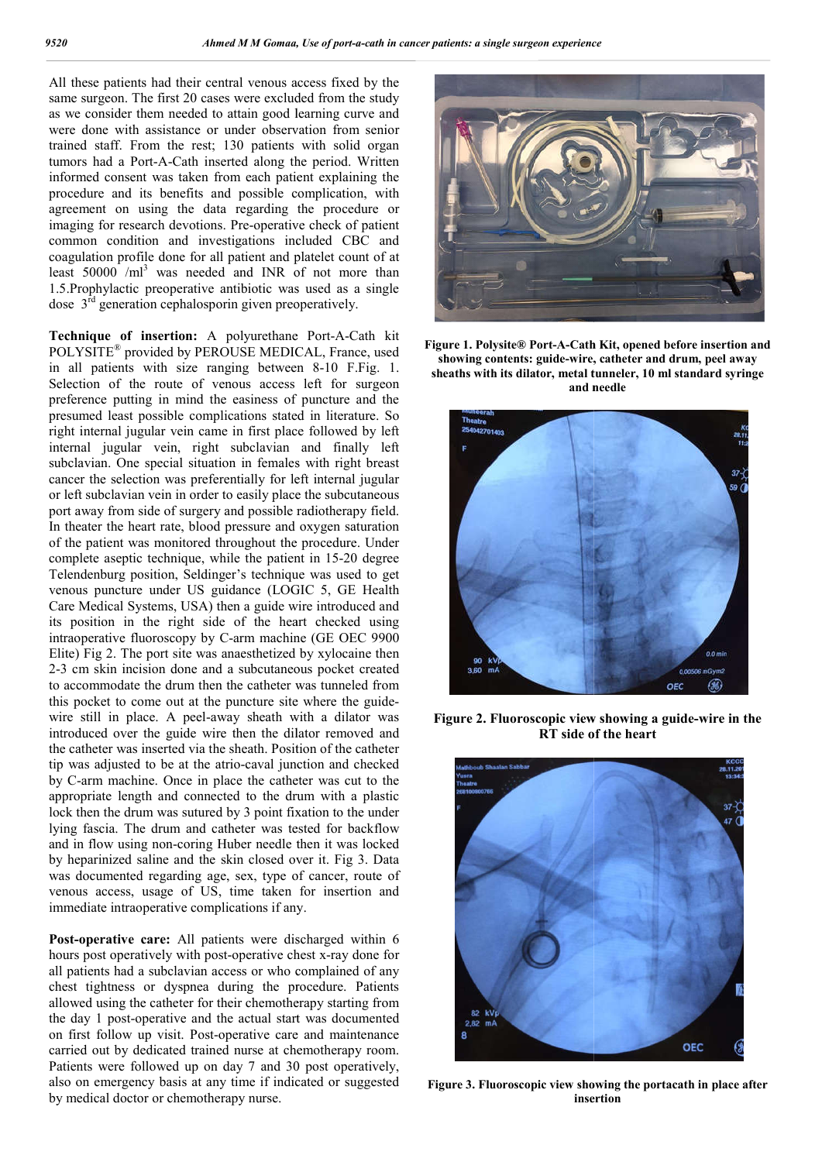All these patients had their central venous access fixed by the same surgeon. The first 20 cases were excluded from the study as we consider them needed to attain good learning curve and were done with assistance or under observation from senior trained staff. From the rest; 130 patients with solid organ tumors had a Port-A-Cath inserted along the period. Written informed consent was taken from each patient explaining the procedure and its benefits and possible complication, with agreement on using the data regarding the procedure or imaging for research devotions. Pre-operative check of patient common condition and investigations included CBC and coagulation profile done for all patient and platelet count of at least  $50000$  /ml<sup>3</sup> was needed and INR of not more than 1.5.Prophylactic preoperative antibiotic was used as a single dose  $3<sup>rd</sup>$  generation cephalosporin given preoperatively.

dose 3<sup>rd</sup> generation cephalosporin given preoperatively.<br>**Technique of insertion:** A polyurethane Port-A-Cath kit POLYSITE® provided by PEROUSE MEDICAL, France, used in all patients with size ranging between 8 8-10 F.Fig. 1. Selection of the route of venous access left for surgeon preference putting in mind the easiness of puncture and the presumed least possible complications stated in literature. So right internal jugular vein came in first place followed by left internal jugular vein, right subclavian and finally left subclavian. One special situation in females with right breast cancer the selection was preferentially for left internal jugular or left subclavian vein in order to easily place the subcutaneous port away from side of surgery and possible radiotherapy fie field. In theater the heart rate, blood pressure and oxygen saturation of the patient was monitored throughout the procedure. Under complete aseptic technique, while the patient in 15 15-20 degree Telendenburg position, Seldinger's technique was used to get venous puncture under US guidance (LOGIC 5, GE Health Care Medical Systems, USA) then a guide wire introduced and its position in the right side of the heart checked using intraoperative fluoroscopy by C-arm machine (GE OEC 9900 Elite) Fig 2. The port site was anaesthetized by xylocaine then 2-3 cm skin incision done and a subcutaneous pocket created to accommodate the drum then the catheter was tunneled from this pocket to come out at the puncture site where the guide wire still in place. A peel-away sheath with a dilator was introduced over the guide wire then the dilator removed and the catheter was inserted via the sheath. Position of the catheter tip was adjusted to be at the atrio-caval junction and checked tip was adjusted to be at the atrio-caval junction and checked<br>by C-arm machine. Once in place the catheter was cut to the appropriate length and connected to the drum with a plastic lock then the drum was sutured by 3 point fixation to the under lying fascia. The drum and catheter was tested for backflow and in flow using non-coring Huber needle then it was locked by heparinized saline and the skin closed over it. Fig 3. Data was documented regarding age, sex, type of cancer, route of venous access, usage of US, time taken for insertion and immediate intraoperative complications if any. mous puncture under US guidance (LOGIC 5, GE Health<br>are Medical Systems, USA) then a guide wire introduced and<br>a position in the right side of the heart checked using<br>traoperative fluoroscopy by C-arm machine (GE OEC 9900<br>

**Post-operative care:** All patients were discharged within 6 **Post-operative care:** All patients were discharged within 6 hours post operatively with post-operative chest x-ray done for all patients had a subclavian access or who complained of any chest tightness or dyspnea during the procedure. Patients allowed using the catheter for their chemotherapy starting from the day 1 post-operative and the actual start was documented on first follow up visit. Post-operative care and maintenance carried out by dedicated trained nurse at chemotherapy room. Patients were followed up on day 7 and 30 post operatively, also on emergency basis at any time if indicated or suggested by medical doctor or chemotherapy nurse. he catheter for their chemotherapy starting from<br>operative and the actual start was documented<br>up visit. Post-operative care and maintenance<br>dedicated trained nurse at chemotherapy room.<br>ollowed up on day 7 and 30 post ope



**Figure 1. Polysite® Port-A-Cath Kit, opened before insertion and showing contents: guide-wire, catheter and drum, peel away sheaths with its dilator, metal tunneler, 10 ml standard syringe and needle**



**Figure 2. Fluoroscopic view showing a guide RT side of the heart heart**



**Figure 3. Fluoroscopic view showing the portacath in place after place insertion**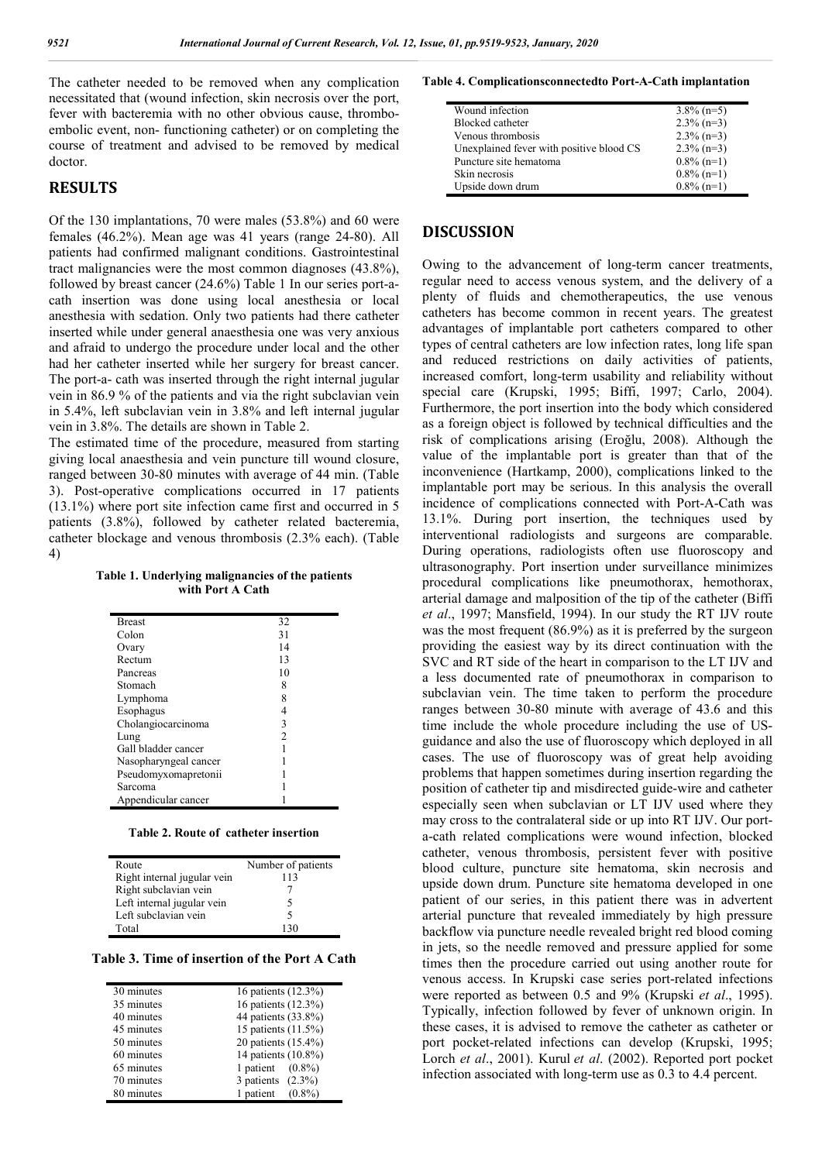The catheter needed to be removed when any complication necessitated that (wound infection, skin necrosis over the port, fever with bacteremia with no other obvious cause, thromboembolic event, non- functioning catheter) or on completing the course of treatment and advised to be removed by medical doctor.

#### **RESULTS**

Of the 130 implantations, 70 were males (53.8%) and 60 were females (46.2%). Mean age was 41 years (range 24-80). All patients had confirmed malignant conditions. Gastrointestinal tract malignancies were the most common diagnoses (43.8%), followed by breast cancer (24.6%) Table 1 In our series port-acath insertion was done using local anesthesia or local anesthesia with sedation. Only two patients had there catheter inserted while under general anaesthesia one was very anxious and afraid to undergo the procedure under local and the other had her catheter inserted while her surgery for breast cancer. The port-a- cath was inserted through the right internal jugular vein in 86.9 % of the patients and via the right subclavian vein in 5.4%, left subclavian vein in 3.8% and left internal jugular vein in 3.8%. The details are shown in Table 2.

The estimated time of the procedure, measured from starting giving local anaesthesia and vein puncture till wound closure, ranged between 30-80 minutes with average of 44 min. (Table 3). Post-operative complications occurred in 17 patients (13.1%) where port site infection came first and occurred in 5 patients (3.8%), followed by catheter related bacteremia, catheter blockage and venous thrombosis (2.3% each). (Table 4)

**Table 1. Underlying malignancies of the patients with Port A Cath**

| 32<br><b>Breast</b><br>31<br>Colon<br>14<br>Ovary<br>Rectum<br>13<br>10<br>Pancreas<br>8<br>Stomach<br>8<br>Lymphoma<br>Esophagus<br>4<br>3<br>Cholangiocarcinoma<br>$\mathfrak{D}$ |
|-------------------------------------------------------------------------------------------------------------------------------------------------------------------------------------|
|                                                                                                                                                                                     |
|                                                                                                                                                                                     |
|                                                                                                                                                                                     |
|                                                                                                                                                                                     |
|                                                                                                                                                                                     |
|                                                                                                                                                                                     |
|                                                                                                                                                                                     |
|                                                                                                                                                                                     |
|                                                                                                                                                                                     |
| Lung                                                                                                                                                                                |
| Gall bladder cancer                                                                                                                                                                 |
| Nasopharyngeal cancer                                                                                                                                                               |
| Pseudomyxomapretonii                                                                                                                                                                |
| Sarcoma                                                                                                                                                                             |
| Appendicular cancer                                                                                                                                                                 |

**Table 2. Route of catheter insertion**

| Route                       | Number of patients |
|-----------------------------|--------------------|
| Right internal jugular vein | 113                |
| Right subclavian vein       |                    |
| Left internal jugular vein  |                    |
| Left subclavian vein        | 5                  |
| Total                       |                    |

**Table 3. Time of insertion of the Port A Cath**

| 30 minutes | 16 patients (12.3%)    |
|------------|------------------------|
| 35 minutes | 16 patients (12.3%)    |
| 40 minutes | 44 patients (33.8%)    |
| 45 minutes | 15 patients (11.5%)    |
| 50 minutes | 20 patients (15.4%)    |
| 60 minutes | 14 patients (10.8%)    |
| 65 minutes | 1 patient $(0.8\%)$    |
| 70 minutes | 3 patients $(2.3\%)$   |
| 80 minutes | 1 patient<br>$(0.8\%)$ |
|            |                        |

**Table 4. Complicationsconnectedto Port-A-Cath implantation**

| Wound infection                          | $3.8\%$ (n=5) |
|------------------------------------------|---------------|
| Blocked catheter                         | $2.3\%$ (n=3) |
| Venous thrombosis                        | $2.3\%$ (n=3) |
| Unexplained fever with positive blood CS | $2.3\%$ (n=3) |
| Puncture site hematoma                   | $0.8\%$ (n=1) |
| Skin necrosis                            | $0.8\%$ (n=1) |
| Upside down drum                         | $0.8\%$ (n=1) |

#### **DISCUSSION**

Owing to the advancement of long-term cancer treatments, regular need to access venous system, and the delivery of a plenty of fluids and chemotherapeutics, the use venous catheters has become common in recent years. The greatest advantages of implantable port catheters compared to other types of central catheters are low infection rates, long life span and reduced restrictions on daily activities of patients, increased comfort, long-term usability and reliability without special care (Krupski, 1995; Biffi, 1997; Carlo, 2004). Furthermore, the port insertion into the body which considered as a foreign object is followed by technical difficulties and the risk of complications arising (Eroğlu, 2008). Although the value of the implantable port is greater than that of the inconvenience (Hartkamp, 2000), complications linked to the implantable port may be serious. In this analysis the overall incidence of complications connected with Port-A-Cath was 13.1%. During port insertion, the techniques used by interventional radiologists and surgeons are comparable. During operations, radiologists often use fluoroscopy and ultrasonography. Port insertion under surveillance minimizes procedural complications like pneumothorax, hemothorax, arterial damage and malposition of the tip of the catheter (Biffi *et al*., 1997; Mansfield, 1994). In our study the RT IJV route was the most frequent (86.9%) as it is preferred by the surgeon providing the easiest way by its direct continuation with the SVC and RT side of the heart in comparison to the LT IJV and a less documented rate of pneumothorax in comparison to subclavian vein. The time taken to perform the procedure ranges between 30-80 minute with average of 43.6 and this time include the whole procedure including the use of USguidance and also the use of fluoroscopy which deployed in all cases. The use of fluoroscopy was of great help avoiding problems that happen sometimes during insertion regarding the position of catheter tip and misdirected guide-wire and catheter especially seen when subclavian or LT IJV used where they may cross to the contralateral side or up into RT IJV. Our porta-cath related complications were wound infection, blocked catheter, venous thrombosis, persistent fever with positive blood culture, puncture site hematoma, skin necrosis and upside down drum. Puncture site hematoma developed in one patient of our series, in this patient there was in advertent arterial puncture that revealed immediately by high pressure backflow via puncture needle revealed bright red blood coming in jets, so the needle removed and pressure applied for some times then the procedure carried out using another route for venous access. In Krupski case series port-related infections were reported as between 0.5 and 9% (Krupski *et al*., 1995). Typically, infection followed by fever of unknown origin. In these cases, it is advised to remove the catheter as catheter or port pocket-related infections can develop (Krupski, 1995; Lorch *et al*., 2001). Kurul *et al*. (2002). Reported port pocket infection associated with long-term use as 0.3 to 4.4 percent.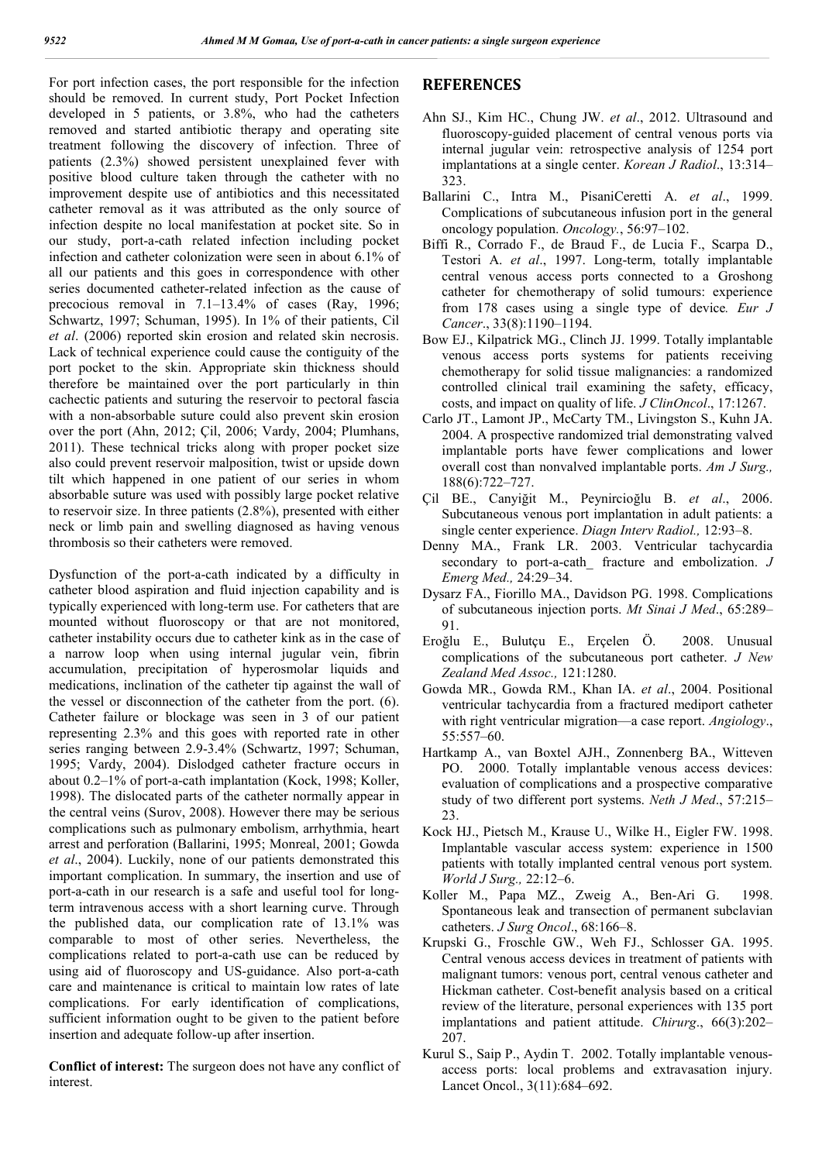For port infection cases, the port responsible for the infection should be removed. In current study, Port Pocket Infection developed in 5 patients, or 3.8%, who had the catheters removed and started antibiotic therapy and operating site treatment following the discovery of infection. Three of patients (2.3%) showed persistent unexplained fever with positive blood culture taken through the catheter with no improvement despite use of antibiotics and this necessitated catheter removal as it was attributed as the only source of infection despite no local manifestation at pocket site. So in our study, port-a-cath related infection including pocket infection and catheter colonization were seen in about 6.1% of all our patients and this goes in correspondence with other series documented catheter-related infection as the cause of precocious removal in 7.1–13.4% of cases (Ray, 1996; Schwartz, 1997; Schuman, 1995). In 1% of their patients, Cil *et al*. (2006) reported skin erosion and related skin necrosis. Lack of technical experience could cause the contiguity of the port pocket to the skin. Appropriate skin thickness should therefore be maintained over the port particularly in thin cachectic patients and suturing the reservoir to pectoral fascia with a non-absorbable suture could also prevent skin erosion over the port (Ahn, 2012; Çil, 2006; Vardy, 2004; Plumhans, 2011). These technical tricks along with proper pocket size also could prevent reservoir malposition, twist or upside down tilt which happened in one patient of our series in whom absorbable suture was used with possibly large pocket relative to reservoir size. In three patients (2.8%), presented with either neck or limb pain and swelling diagnosed as having venous thrombosis so their catheters were removed.

Dysfunction of the port-a-cath indicated by a difficulty in catheter blood aspiration and fluid injection capability and is typically experienced with long-term use. For catheters that are mounted without fluoroscopy or that are not monitored, catheter instability occurs due to catheter kink as in the case of a narrow loop when using internal jugular vein, fibrin accumulation, precipitation of hyperosmolar liquids and medications, inclination of the catheter tip against the wall of the vessel or disconnection of the catheter from the port. (6). Catheter failure or blockage was seen in 3 of our patient representing 2.3% and this goes with reported rate in other series ranging between 2.9-3.4% (Schwartz, 1997; Schuman, 1995; Vardy, 2004). Dislodged catheter fracture occurs in about 0.2–1% of port-a-cath implantation (Kock, 1998; Koller, 1998). The dislocated parts of the catheter normally appear in the central veins (Surov, 2008). However there may be serious complications such as pulmonary embolism, arrhythmia, heart arrest and perforation (Ballarini, 1995; Monreal, 2001; Gowda *et al*., 2004). Luckily, none of our patients demonstrated this important complication. In summary, the insertion and use of port-a-cath in our research is a safe and useful tool for longterm intravenous access with a short learning curve. Through the published data, our complication rate of 13.1% was comparable to most of other series. Nevertheless, the complications related to port-a-cath use can be reduced by using aid of fluoroscopy and US-guidance. Also port-a-cath care and maintenance is critical to maintain low rates of late complications. For early identification of complications, sufficient information ought to be given to the patient before insertion and adequate follow-up after insertion.

**Conflict of interest:** The surgeon does not have any conflict of interest.

## **REFERENCES**

- Ahn SJ., Kim HC., Chung JW. *et al*., 2012. Ultrasound and fluoroscopy-guided placement of central venous ports via internal jugular vein: retrospective analysis of 1254 port implantations at a single center. *Korean J Radiol*., 13:314– 323.
- Ballarini C., Intra M., PisaniCeretti A. *et al*., 1999. Complications of subcutaneous infusion port in the general oncology population. *Oncology.*, 56:97–102.
- Biffi R., Corrado F., de Braud F., de Lucia F., Scarpa D., Testori A. *et al*., 1997. Long-term, totally implantable central venous access ports connected to a Groshong catheter for chemotherapy of solid tumours: experience from 178 cases using a single type of device*. Eur J Cancer*., 33(8):1190–1194.
- Bow EJ., Kilpatrick MG., Clinch JJ. 1999. Totally implantable venous access ports systems for patients receiving chemotherapy for solid tissue malignancies: a randomized controlled clinical trail examining the safety, efficacy, costs, and impact on quality of life. *J ClinOncol*., 17:1267.
- Carlo JT., Lamont JP., McCarty TM., Livingston S., Kuhn JA. 2004. A prospective randomized trial demonstrating valved implantable ports have fewer complications and lower overall cost than nonvalved implantable ports. *Am J Surg.,* 188(6):722–727.
- Çil BE., Canyiğit M., Peynircioğlu B. *et al*., 2006. Subcutaneous venous port implantation in adult patients: a single center experience. *Diagn Interv Radiol.,* 12:93–8.
- Denny MA., Frank LR. 2003. Ventricular tachycardia secondary to port-a-cath\_ fracture and embolization. *J Emerg Med.,* 24:29–34.
- Dysarz FA., Fiorillo MA., Davidson PG. 1998. Complications of subcutaneous injection ports. *Mt Sinai J Med*., 65:289– 91.
- Eroğlu E., Bulutçu E., Erçelen Ö. 2008. Unusual complications of the subcutaneous port catheter. *J New Zealand Med Assoc.,* 121:1280.
- Gowda MR., Gowda RM., Khan IA. *et al*., 2004. Positional ventricular tachycardia from a fractured mediport catheter with right ventricular migration––a case report. *Angiology*., 55:557–60.
- Hartkamp A., van Boxtel AJH., Zonnenberg BA., Witteven PO. 2000. Totally implantable venous access devices: evaluation of complications and a prospective comparative study of two different port systems. *Neth J Med*., 57:215– 23.
- Kock HJ., Pietsch M., Krause U., Wilke H., Eigler FW. 1998. Implantable vascular access system: experience in 1500 patients with totally implanted central venous port system. *World J Surg.,* 22:12–6.
- Koller M., Papa MZ., Zweig A., Ben-Ari G. 1998. Spontaneous leak and transection of permanent subclavian catheters. *J Surg Oncol*., 68:166–8.
- Krupski G., Froschle GW., Weh FJ., Schlosser GA. 1995. Central venous access devices in treatment of patients with malignant tumors: venous port, central venous catheter and Hickman catheter. Cost-benefit analysis based on a critical review of the literature, personal experiences with 135 port implantations and patient attitude. *Chirurg*., 66(3):202– 207.
- Kurul S., Saip P., Aydin T. 2002. Totally implantable venousaccess ports: local problems and extravasation injury. Lancet Oncol., 3(11):684–692.